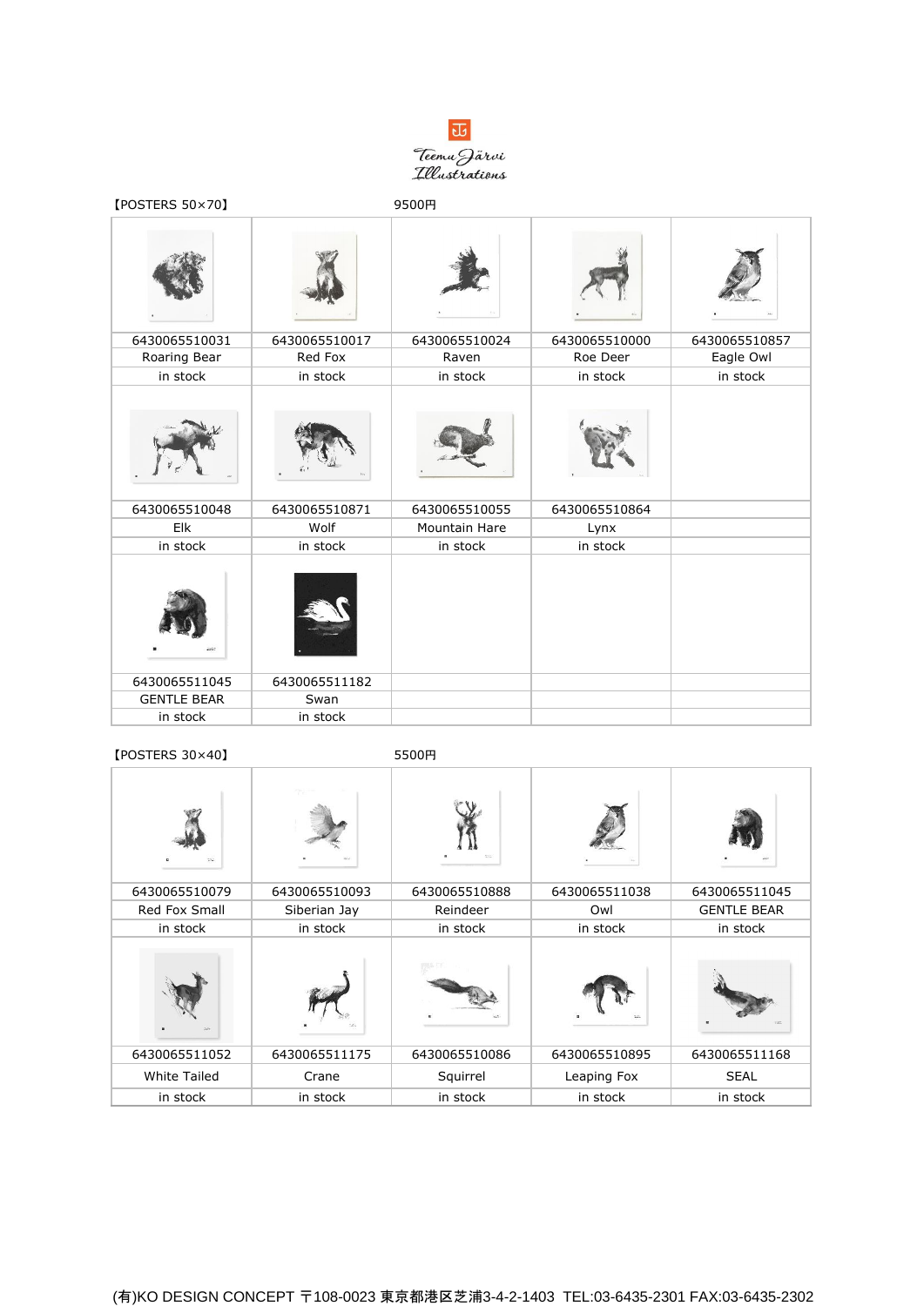

| [POSTERS 50×70]    |               | 9500円         |               |               |
|--------------------|---------------|---------------|---------------|---------------|
|                    |               |               |               |               |
| 6430065510031      | 6430065510017 | 6430065510024 | 6430065510000 | 6430065510857 |
| Roaring Bear       | Red Fox       | Raven         | Roe Deer      | Eagle Owl     |
| in stock           | in stock      | in stock      | in stock      | in stock      |
| 6430065510048      | 6430065510871 | 6430065510055 | 6430065510864 |               |
| Elk                | Wolf          | Mountain Hare | Lynx          |               |
| in stock           | in stock      | in stock      | in stock      |               |
|                    |               |               |               |               |
| 6430065511045      | 6430065511182 |               |               |               |
| <b>GENTLE BEAR</b> | Swan          |               |               |               |
| in stock           | in stock      |               |               |               |

## 【POSTERS 30×40】 5500円

| 522                 | ec.           | 3000          |               |                    |
|---------------------|---------------|---------------|---------------|--------------------|
| 6430065510079       | 6430065510093 | 6430065510888 | 6430065511038 | 6430065511045      |
| Red Fox Small       | Siberian Jay  | Reindeer      | Owl           | <b>GENTLE BEAR</b> |
| in stock            | in stock      | in stock      | in stock      | in stock           |
| AST.                |               |               | 3.11          |                    |
| 6430065511052       | 6430065511175 | 6430065510086 | 6430065510895 | 6430065511168      |
| <b>White Tailed</b> | Crane         | Squirrel      | Leaping Fox   | <b>SEAL</b>        |
| in stock            | in stock      | in stock      | in stock      | in stock           |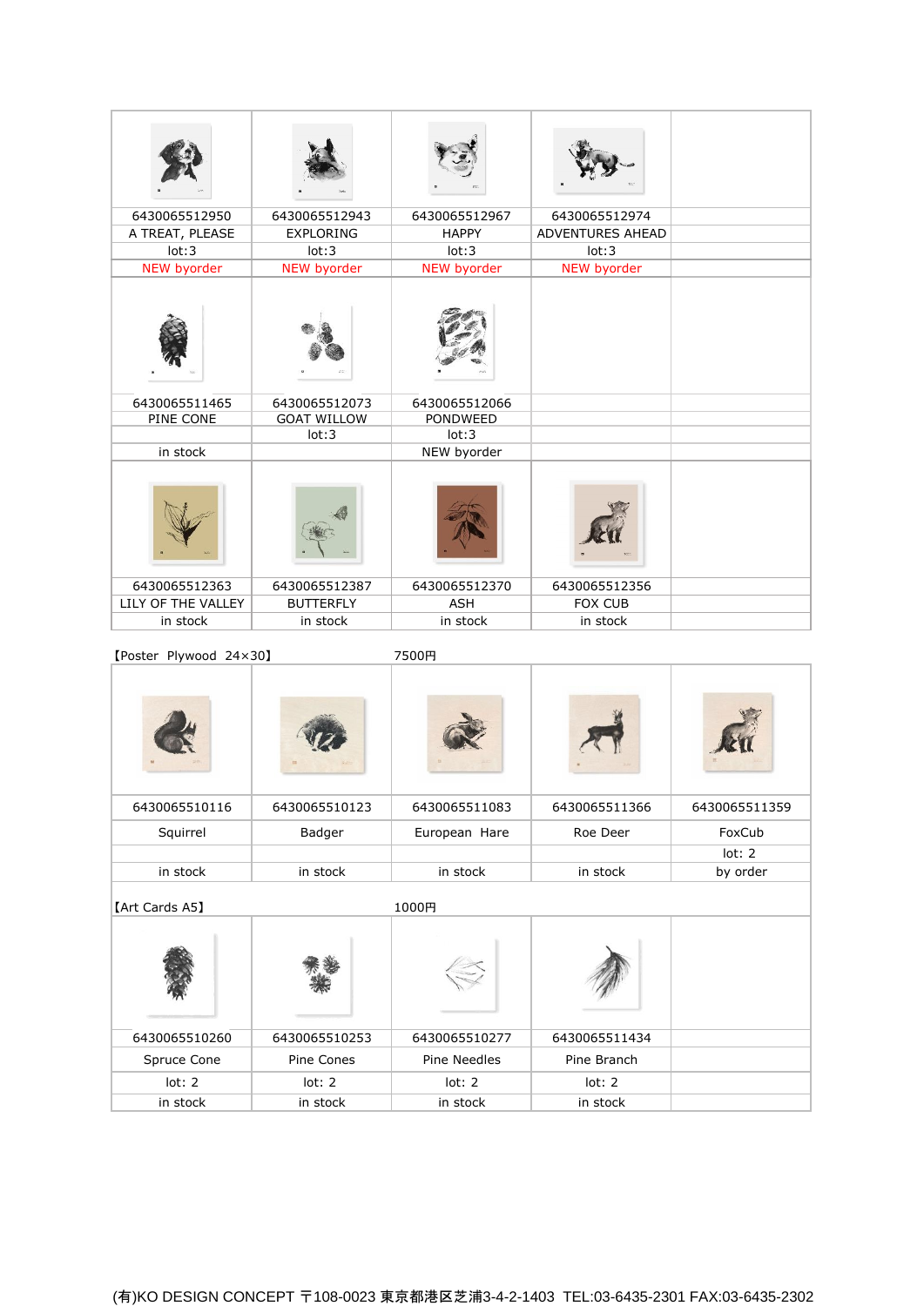| 6430065512950      | 6430065512943      | 6430065512967   | 6430065512974           |  |
|--------------------|--------------------|-----------------|-------------------------|--|
| A TREAT, PLEASE    | <b>EXPLORING</b>   | <b>HAPPY</b>    | <b>ADVENTURES AHEAD</b> |  |
| lot:3              | lot:3              | lot:3           | lot:3                   |  |
| <b>NEW byorder</b> | NEW byorder        | NEW byorder     | NEW byorder             |  |
|                    |                    |                 |                         |  |
| 6430065511465      | 6430065512073      | 6430065512066   |                         |  |
| PINE CONE          | <b>GOAT WILLOW</b> | <b>PONDWEED</b> |                         |  |
|                    | lot:3              | lot:3           |                         |  |
| in stock           |                    | NEW byorder     |                         |  |
|                    |                    |                 |                         |  |
| 6430065512363      | 6430065512387      | 6430065512370   | 6430065512356           |  |
| LILY OF THE VALLEY | <b>BUTTERFLY</b>   | <b>ASH</b>      | <b>FOX CUB</b>          |  |
| in stock           | in stock           | in stock        | in stock                |  |

【Poster Plywood 24×30】 7500円

| 6430065510116  | 6430065510123 | 6430065511083 | 6430065511366 | 6430065511359 |
|----------------|---------------|---------------|---------------|---------------|
| Squirrel       | Badger        | European Hare | Roe Deer      | FoxCub        |
|                |               |               |               | lot: 2        |
| in stock       | in stock      | in stock      | in stock      | by order      |
| [Art Cards A5] |               | 1000円         |               |               |
|                |               |               |               |               |

| $\mathcal{M}$ | $-1$          |               |               |  |
|---------------|---------------|---------------|---------------|--|
|               |               |               |               |  |
| 6430065510260 | 6430065510253 | 6430065510277 | 6430065511434 |  |
| Spruce Cone   | Pine Cones    | Pine Needles  | Pine Branch   |  |
| lot: 2        | lot: 2        | lot: 2        | lot: 2        |  |
| in stock      | in stock      | in stock      | in stock      |  |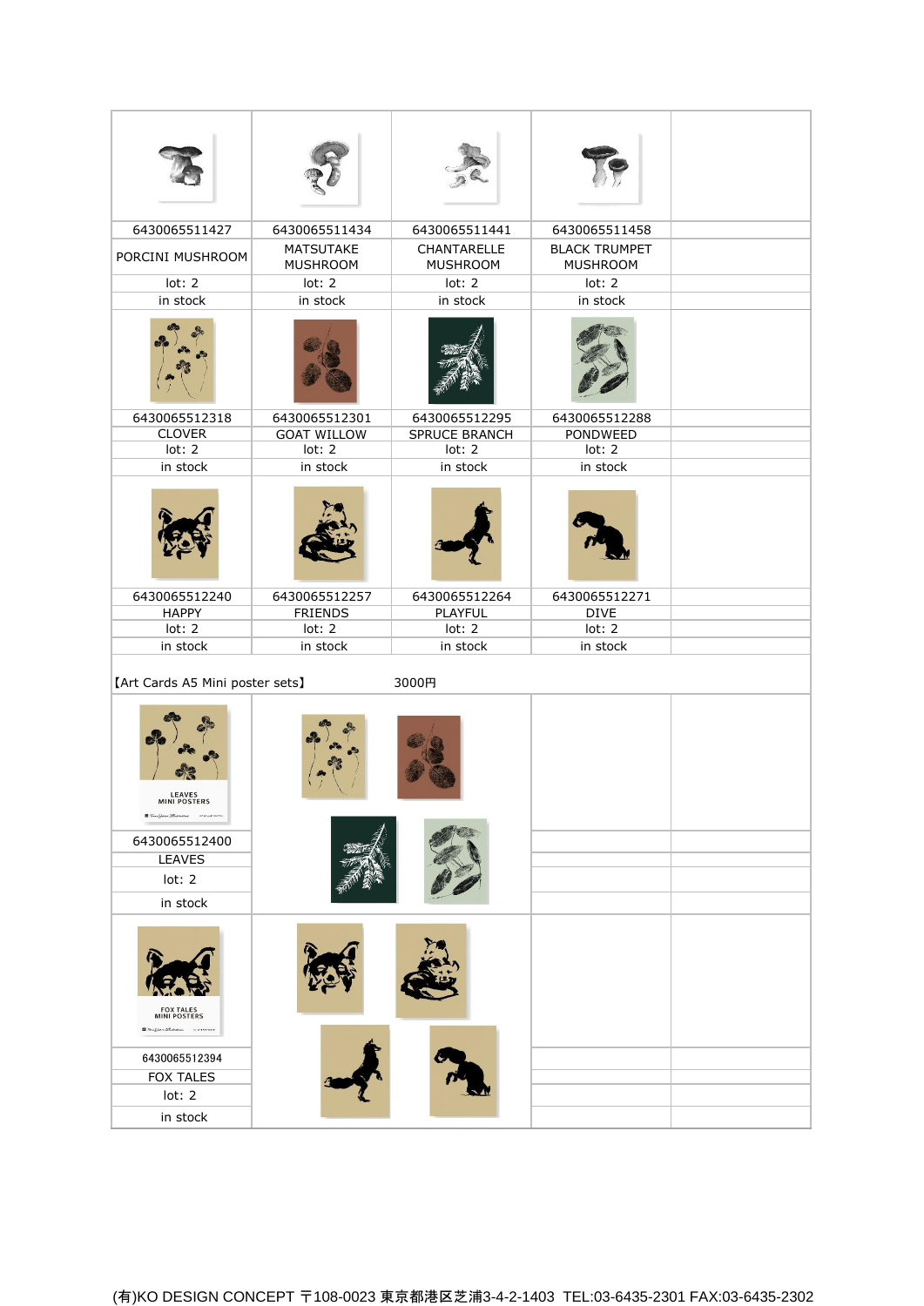| 6430065511427                                                              | 6430065511434                       | 6430065511441                  | 6430065511458                           |  |
|----------------------------------------------------------------------------|-------------------------------------|--------------------------------|-----------------------------------------|--|
| PORCINI MUSHROOM                                                           | <b>MATSUTAKE</b><br><b>MUSHROOM</b> | CHANTARELLE<br><b>MUSHROOM</b> | <b>BLACK TRUMPET</b><br><b>MUSHROOM</b> |  |
| lot: 2                                                                     | lot: 2                              | lot: 2                         | lot: 2                                  |  |
| in stock                                                                   | in stock                            | in stock                       | in stock                                |  |
|                                                                            |                                     |                                |                                         |  |
| 6430065512318                                                              | 6430065512301                       | 6430065512295                  | 6430065512288                           |  |
| <b>CLOVER</b><br>lot: 2                                                    | <b>GOAT WILLOW</b><br>lot: 2        | <b>SPRUCE BRANCH</b><br>lot: 2 | PONDWEED<br>lot: 2                      |  |
| in stock                                                                   | in stock                            | in stock                       | in stock                                |  |
|                                                                            |                                     |                                |                                         |  |
| 6430065512240                                                              | 6430065512257                       | 6430065512264                  | 6430065512271                           |  |
| <b>HAPPY</b>                                                               | <b>FRIENDS</b>                      | PLAYFUL                        | <b>DIVE</b>                             |  |
| lot: 2<br>in stock                                                         | lot: 2<br>in stock                  | lot: 2<br>in stock             | lot: 2<br>in stock                      |  |
| [Art Cards A5 Mini poster sets]                                            |                                     | 3000円                          |                                         |  |
| <b>LEAVES</b><br><b>MINI POSTERS</b><br>開伝<br>$Cov = TIR$<br><b>ATTACH</b> |                                     |                                |                                         |  |
| 6430065512400                                                              |                                     |                                |                                         |  |
| <b>LEAVES</b>                                                              |                                     |                                |                                         |  |
| lot: 2                                                                     |                                     |                                |                                         |  |
| in stock                                                                   |                                     |                                |                                         |  |
| FOX TALES<br>MINI POSTERS<br><b>B</b> New Line Blackston Schemme           |                                     |                                |                                         |  |
| 6430065512394                                                              |                                     |                                |                                         |  |
| <b>FOX TALES</b>                                                           |                                     |                                |                                         |  |
| lot: 2                                                                     |                                     |                                |                                         |  |
| in stock                                                                   |                                     |                                |                                         |  |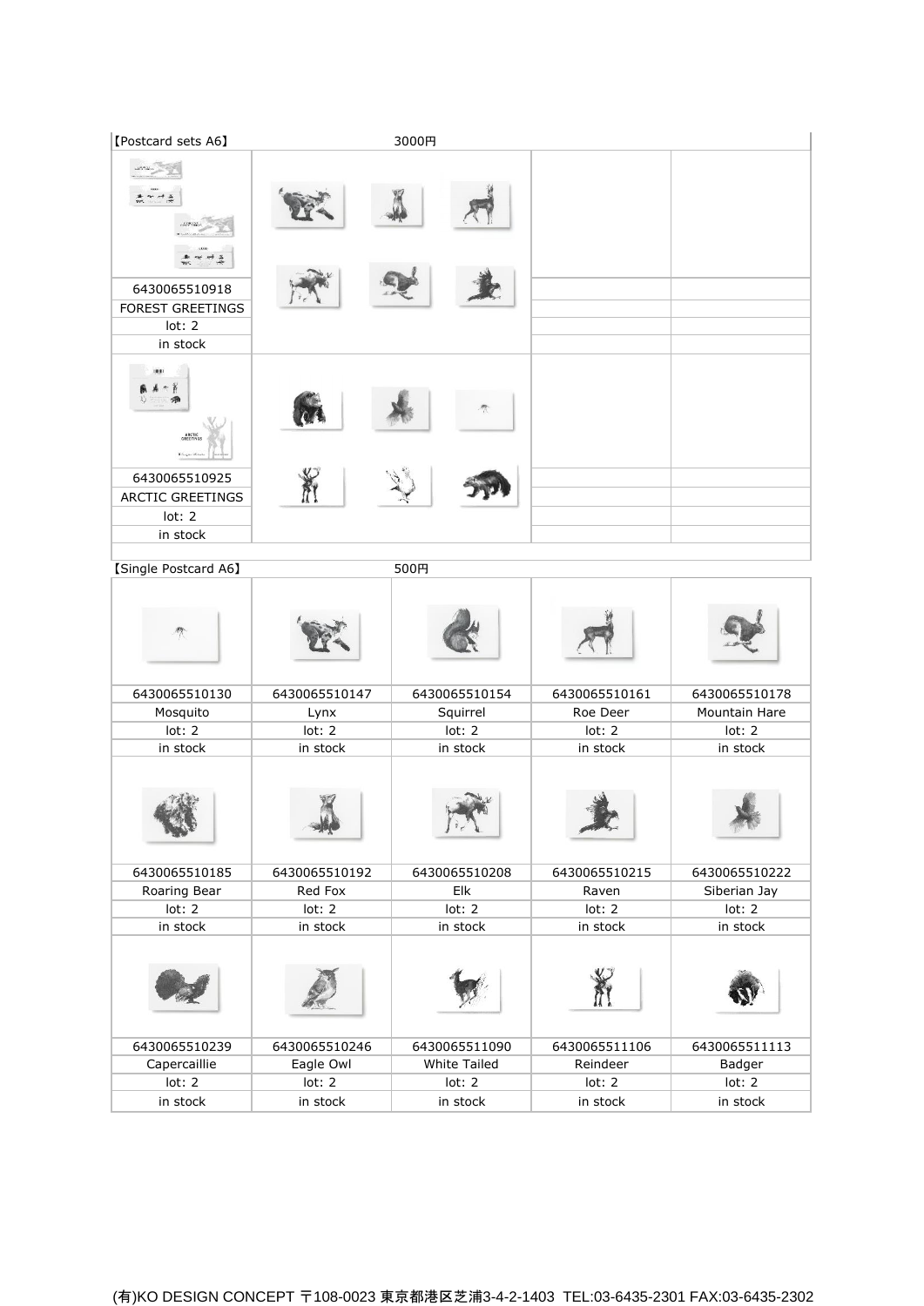| [Postcard sets A6]                                                                         |               | 3000円               |               |               |
|--------------------------------------------------------------------------------------------|---------------|---------------------|---------------|---------------|
| 6430065510918<br><b>FOREST GREETINGS</b><br>lot: 2<br>in stock                             |               |                     |               |               |
| ARCTI<br>GREETI!<br># Grigorian<br>6430065510925<br>ARCTIC GREETINGS<br>lot: 2<br>in stock |               |                     |               |               |
| [Single Postcard A6]                                                                       |               | 500円                |               |               |
|                                                                                            |               |                     |               |               |
| 6430065510130                                                                              | 6430065510147 | 6430065510154       | 6430065510161 | 6430065510178 |
| Mosquito                                                                                   | Lynx          | Squirrel            | Roe Deer      | Mountain Hare |
| lot: 2                                                                                     | lot: 2        | lot: 2              | lot: 2        | lot: 2        |
| in stock                                                                                   | in stock      | in stock            | in stock      | in stock      |
|                                                                                            |               | $1$ , $\sqrt{}$     |               |               |
| 6430065510185                                                                              | 6430065510192 | 6430065510208       | 6430065510215 | 6430065510222 |
| Roaring Bear                                                                               | Red Fox       | Elk                 | Raven         | Siberian Jay  |
| lot: 2                                                                                     | lot: 2        | lot: 2              | lot: 2        | lot: 2        |
| in stock                                                                                   | in stock      | in stock            | in stock      | in stock      |
|                                                                                            |               |                     |               |               |
| 6430065510239                                                                              | 6430065510246 | 6430065511090       | 6430065511106 | 6430065511113 |
| Capercaillie                                                                               | Eagle Owl     | <b>White Tailed</b> | Reindeer      | Badger        |
| lot: 2                                                                                     | lot: 2        | lot: 2              | lot: 2        | lot: 2        |
| in stock                                                                                   | in stock      | in stock            | in stock      | in stock      |